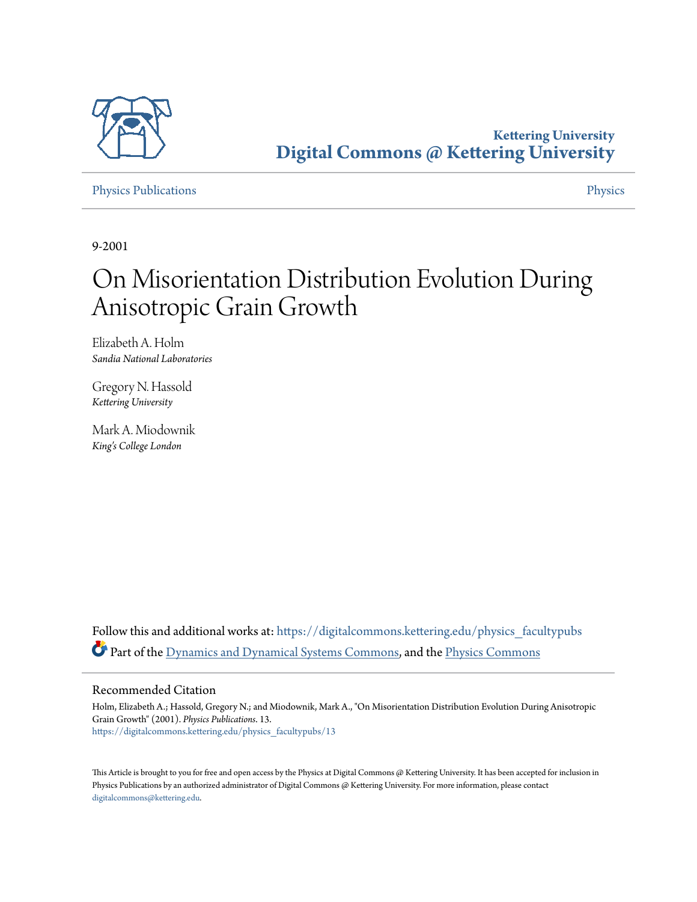

# **Kettering University [Digital Commons @ Kettering University](https://digitalcommons.kettering.edu?utm_source=digitalcommons.kettering.edu%2Fphysics_facultypubs%2F13&utm_medium=PDF&utm_campaign=PDFCoverPages)**

[Physics Publications](https://digitalcommons.kettering.edu/physics_facultypubs?utm_source=digitalcommons.kettering.edu%2Fphysics_facultypubs%2F13&utm_medium=PDF&utm_campaign=PDFCoverPages) **[Physics](https://digitalcommons.kettering.edu/physics?utm_source=digitalcommons.kettering.edu%2Fphysics_facultypubs%2F13&utm_medium=PDF&utm_campaign=PDFCoverPages)** Physics Publications **Physics** 

9-2001

# On Misorientation Distribution Evolution During Anisotropic Grain Growth

Elizabeth A. Holm *Sandia National Laboratories*

Gregory N. Hassold *Kettering University*

Mark A. Miodownik *King's College London*

Follow this and additional works at: [https://digitalcommons.kettering.edu/physics\\_facultypubs](https://digitalcommons.kettering.edu/physics_facultypubs?utm_source=digitalcommons.kettering.edu%2Fphysics_facultypubs%2F13&utm_medium=PDF&utm_campaign=PDFCoverPages) Part of the [Dynamics and Dynamical Systems Commons,](http://network.bepress.com/hgg/discipline/281?utm_source=digitalcommons.kettering.edu%2Fphysics_facultypubs%2F13&utm_medium=PDF&utm_campaign=PDFCoverPages) and the [Physics Commons](http://network.bepress.com/hgg/discipline/193?utm_source=digitalcommons.kettering.edu%2Fphysics_facultypubs%2F13&utm_medium=PDF&utm_campaign=PDFCoverPages)

# Recommended Citation

Holm, Elizabeth A.; Hassold, Gregory N.; and Miodownik, Mark A., "On Misorientation Distribution Evolution During Anisotropic Grain Growth" (2001). *Physics Publications*. 13. [https://digitalcommons.kettering.edu/physics\\_facultypubs/13](https://digitalcommons.kettering.edu/physics_facultypubs/13?utm_source=digitalcommons.kettering.edu%2Fphysics_facultypubs%2F13&utm_medium=PDF&utm_campaign=PDFCoverPages)

This Article is brought to you for free and open access by the Physics at Digital Commons @ Kettering University. It has been accepted for inclusion in Physics Publications by an authorized administrator of Digital Commons @ Kettering University. For more information, please contact [digitalcommons@kettering.edu.](mailto:digitalcommons@kettering.edu)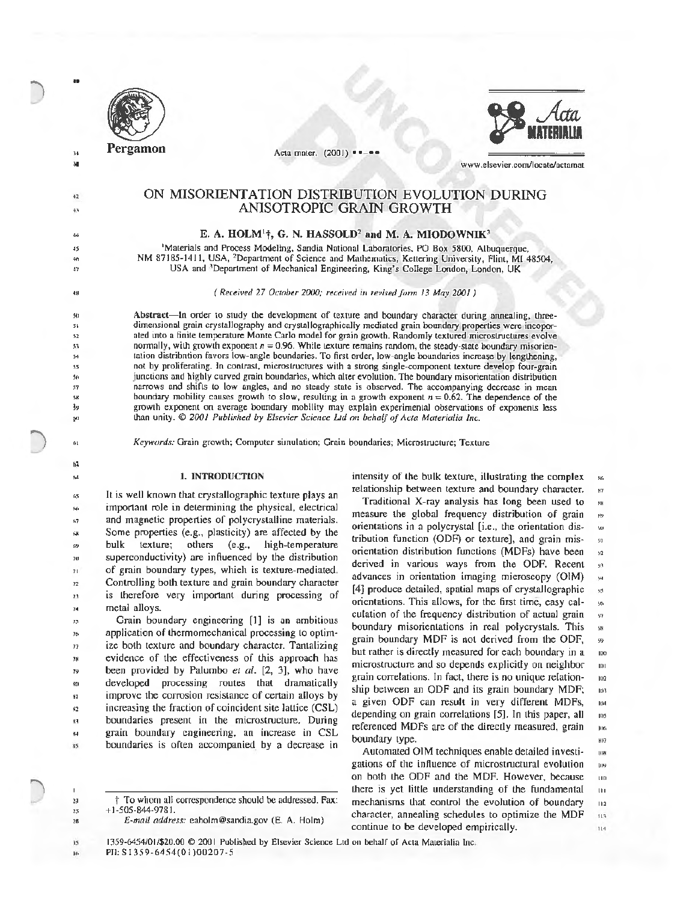

H

42

 $43$ 

 $\overline{\mathbf{u}}$ 利

••

..

 $63$ 64

2~ 2S 2.

 $\mathbf{r}$ 



**Pergamon** Acta mater.  $(2001)$   $\bullet$   $\bullet$ - $\bullet$ 

www .elsevier.com/locatelactamat

# ON MISORIENTATION DISTRIBUTION EVOLUTION DURING ANISOTROPIC GRAIN GROWTH

# E. A. HOLM<sup>1</sup>†, G. N. HASSOLD<sup>2</sup> and M. A. MIODOWNIK<sup>3</sup>

'Materials and Process Modeling, Sandia National Laboratories, PO Box 5800, Albuquerque, NM 87185-1411, USA, <sup>2</sup>Department of Science and Mathematics, Kettering University, Flint, MI 48504, USA and <sup>3</sup>Department of Mechanical Engineering, King's College London, London, UK

*( Received 27 October 2000; received in revised form 13 May 2001)* 

Abstract-In order to study the development of texture and boundary character during annealing, threedimensional grain crystallography and crystallographically mediated grain boundary properties were incoporated into a finite temperature Monte Carlo model for grain growth. Randomly textured microstructures evolve normally, with growth exponent  $n = 0.96$ . While texture remains random, the steady-state boundary misorientation distribution favors low-angle boundaries. To first order, low-angle boundaries increase by lengthening, not by proliferating. In contrast, microstructures with a strong single-component texture develop four-grain junctions and highly curved grain boundaries, which alter evolution. The boundary misorientation distribution narrows and shifts to low angles, and no steady state is observed. The accompanying decrease in mean boundary mobility causes growth to slow, resulting in a growth exponent  $n = 0.62$ . The dependence of the growth exponent on average boundary mobility may explain experimental observations of exponents less than unity. © 2001 Published by Elsevier Science Lid on behalf of Acta Materialia Inc.

*Keywords:* Grain growth; Computer simulation; Grain boundaries; Microstructure; Texture

# 1. INTRODUCTION

65 It is well known that crystallographic texture plays an important role in determining the physical, electrical 60<br>67 and magnetic properties of polycrystalline materials. Some properties (e.g., plasticity) are affected by the к. bulk texture; others (e.g.. high-temperature ŵ superconductivity) are influenced by the distribution 711 of grain boundary types, which is texture-mediated. 71 Controlling both texture and grain boundary character 72 71 is therefore very important during processing of 74 metal alloys.

Grain boundary engineering (I] is an ambitious 75 application of thermomechanical processing to optim-76 ize both texture and boundary character. Tantalizing 77 evidence of the effectiveness of this approach has 78 *1V*  been provided by Palumbo *et al.* [2, 3], who have **Rf** developed processing routes that dramatically improve the corrosion resistance of certain alloys by 81 increasing the fraction of coincident site lattice (CSL) N<sub>2</sub> boundaries present in the microstructure. During Xl grain boundary engineering. an increase in CSL IW boundaries is often accompanied by a decrease in  $\overline{\mathbf{R}}$ 

> t To whom all correspondence should be addressed. Fax: + 1-505-844-9781.

*E-mail address: eaholm@sandia.gov (E. A. Holm)* 

intensity of the bulk texture, illustrating the complex relationship between texture and boundary character.

Traditional X-ray analysis has long been used to •• measure the global frequency distribution of grain  $\mathbf{g}$ orientations in a polycrystal (i.e., the orientation dis-'sea tribution function (ODF} or texture), and grain mis-91 orientation distribution functions (MDFs) have been  $92$ derived in various ways from the ODF. Recent advances in orientation imaging microscopy (OIM} •• [4) produce detailed, spatial maps of crystallographic 95 orientations. This allows, for the first time, easy cal-**V6** culation of the frequency distribution of actual grain y, boundary misorientations in real polycrystals. This 98 grain boundary MDF is not derived from the ODF, yų. but rather is directly measured for each boundary in a IUO microstructure and so depends explicitly on neighbor 1111 grain correlations. In fact, there is no unique relation-IUl ship between an ODF and its grain boundary MDF; IUl a given ODF can result in very different MDFs, 'na depending on grain correlations (5). In this paper, all IIU referenced MDFs arc of the directly measured, grain )ns boundary type. W7

Automated OIM techniques enable detailed investi-**DIR** gations of the influence of microstructural evolution 10W on both the ODF and the MDF. However. because IIU there is yet little understanding of the fundamental Ill mechanisms that control the evolution of boundary 112 character, annealing schedules to optimize the MDF  $113$ continue to be developed empirically. 114

*<sup>&</sup>gt;s* 1359-6454/01/\$20.00 © 2001 Published by Elsevier Science Ltd on behalf of Acta Materiali<l Inc. 1• Pll: S 1359-6454(0! )00207-5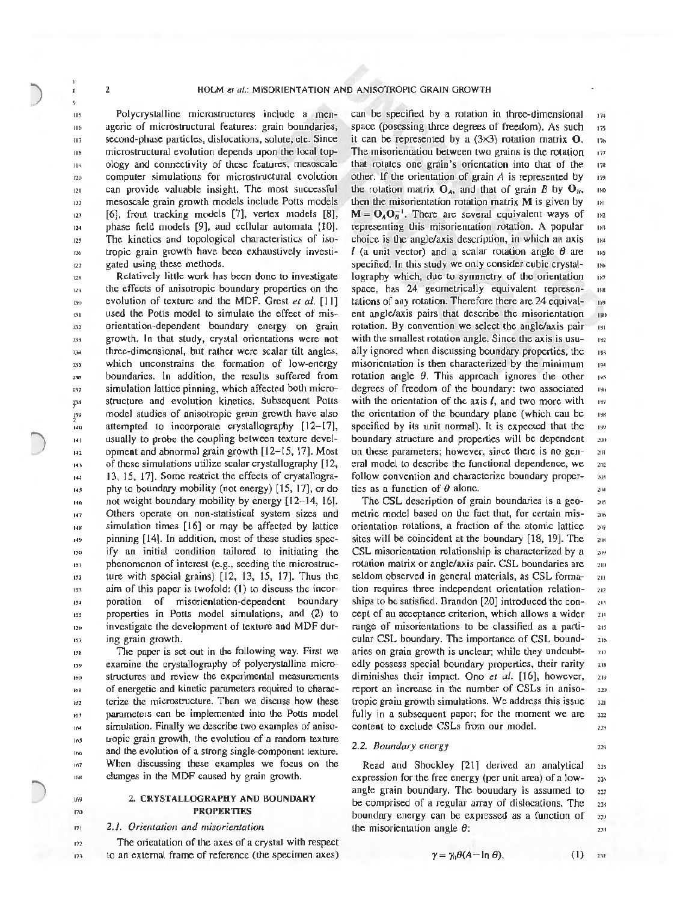Polycrystalline microstructures include a menagerie of microstructural features: grain boundaries, second-phase particles, dislocations, solute, etc. Since microstructural evolution depends upon the local topology and connectivity of these features, mesoscale computer simulations for microstructural evolution can provide valuable insight. The most successful mesoscale grain growth models include Potts models [6], front tracking models [7], vertex models [8], phase field models [9], and cellular automata [10]. The kinetics and topological characteristics of isotropic grain growth have been exhaustively investigated using these methods.

ı  $\mathbf{1}$ 

1%4

 $125$ 

 $123$ 

1'20 121

Relatively little work has been done to investigate 12• the effects of anisotropic boundary properties on the 12~ evolution of texture and the MDF. Grest *et al.* [11] I :Ill used the Potts model to simulate the effect of mis- $131$ orientation-dependent boundary energy on grain 132 ·~· growth. In that study, crystal orientations were not 133 three-dimensional, but rather were scalar tilt angles, 134 which unconstrains the formation of low-energy 135 boundaries. In addition, the results suffered from .<br>137 simulation lattice pinning, which affected both microstructure and evolution kinetics. Subsequent Potts  $138$ model studies of anisotropic grain growth have also  $139$ attempted to incorporate crystallography [12-17],  $140$ usually to probe the coupling between texture devel-I 'I opment and abnormal grain growth [12-15, 17). Most 141 of these simulations utilize scalar crystallography [ 12, 14\ 13, 15, 17]. Some restrict the effects of crystallogra-1-14 phy to boundary mobility (not energy) [15, 17), or do **Lus** not weight boundary mobility by energy [12-14, 16). ,.. ,., Others operate on non-statistical system sizes and simulation times [16] or may be affected by lattice luv. pinning [14]. In addition, most of these studies spec-LD. ify an initial condition tailored to initiating the 150 phenomenon of interest (e.g., seeding the microstruclSI ture with special grains) (12, 13, 15, 17). Thus the  $152$ aim of this paper is twofold: (I) to discuss the incor- $153$ poration of misorientation-dependent boundary 154 properties in Potts model simulations, and (2) to 155 investigate the development of texture and MDF dur-156 ing grain growth. 151

 $152$ IS'J 1611 IOI 162 163 164 IM IM 167 168 The paper is set out in the following way. First we examine the crystallography of polycrystalline microstructures and review the experimental measurements of energetic and kinetic parameters required to characterize the microstructure. Then we discuss how these parameters can be implemented into the Potts model simulation. Finally we describe two examples of anisotropic grain growth, the evolution of a random texture and the evolution of a strong single-component texture. When discussing these examples we focus on the changes in the MDF caused by grain growth.

# 2. CRYSTALLOGRAPHY AND BOUNDARY **PROPERTIES**

# $2.1.$  Orientation and misorientation

<sup>I</sup>*h.* 

 $170$ 

171

17\

 $122$ 

The orientation of the axes of a crystal with respect to an external frame of reference (the specimen axes)

can be specified by a rotation in three-dimensional 174 space (posessing three degrees of freedom). As such 175 it can be represented by a  $(3\times3)$  rotation matrix O.  $176$ The misorientation between two grains is the rotation 177 that rotates one grain's orientation into that of the 171 other. If the orientation of grain *A* is represented by 17') the rotation matrix  $O<sub>A</sub>$ , and that of grain B by  $O<sub>B</sub>$ , UIU then the misorientation rotation matrix M is given by IM I  $M = O<sub>A</sub>O<sub>B</sub><sup>-1</sup>$ . There are several equivalent ways of IX<sub>2</sub> representing this misorientation rotation. A popular I83<br>184 choice is the angle/axis description, in which an axis I (a unit vector) and a scalar rotation angle  $\theta$  are 185 specified. In this study we only consider cubic crystal-186 lography which, due to symmetry of the orientation 1~1 space, has 24 geometrically equivalent represen-188 tations of any rotation. Therefore there are 24 equival-Ul? ent angle/axis pairs that describe the misorientation **ISB** rotation. By convention we select the angle/axis pair 191  $-1$ with the smallest rotation angle. Since the axis is usu- $192$  $$ ally ignored when discussing boundary properties, the I" misorientation is then characterized by the minimum 19-1 rotation angle *8.* This approach ignores the other  $195$ degrees of freedom of the boundary: two associated **19d** with the orientation of the axis  $l$ , and two more with l'fl the orientation of the boundary plane (which can be I'M specified by its unit normal). It is expected that the 1!1'1 boundary structure and properties will be dependent **MKI** on these parameters; however, since there is no gen-2111 eral model to describe the functional dependence, we  $2n2$ follow convention and characterize boundary proper-2U) ties as a function of  $\theta$  alone.  $2th$ 

The CSL description of grain boundaries is a geo- $2115$ metric model based on the fact that, for certain mis- $206$ orientation rotations, a fraction of the atomic lattice 207 sites will be coincident at the boundary [ 18, 19). The  $21R$ CSL misorientation relationship is characterized by a  $24N$ rotation matrix or angle/axis pair. CSL boundaries are '!IU seldom observed in general materials, as CSL forma-211 tion requires three independent orientation relation-212 ships to be satisfied. Brandon [20) introduced the con-213 cept of an acceptance criterion, which allows a wider !I• range of misorientations to be classified as a partiliS cular CSL boundary. The importance of CSL bound- $216$ aries on grain growth is unclear; while they undoubt-217 edly possess special boundary properties, their rarity  $218$ diminishes their impact. Ono *ct al.* [16]. however, 2 1. report an increase in the number of CSLs in aniso-220 tropic grain growth simulations. We address this issue 121 fully in a subsequent paper; for the moment we are m content to exclude CSLs from our model.  $7.73$ 

# 2.2. *Boundary energy*

Read and Shockley [21] derived an analytical *215*  expression for the free energy (per unit area) of a low- $226$ angle grain boundary. The boundary is assumed to 227 be comprised of a regular array of dislocations. The 22M boundary energy can be expressed as a function of 229 the misorientation angle  $\theta$ : 230

 $\gamma = \gamma_0 \theta (A - \ln \theta),$  (1)  $\gamma_3 \gamma_4$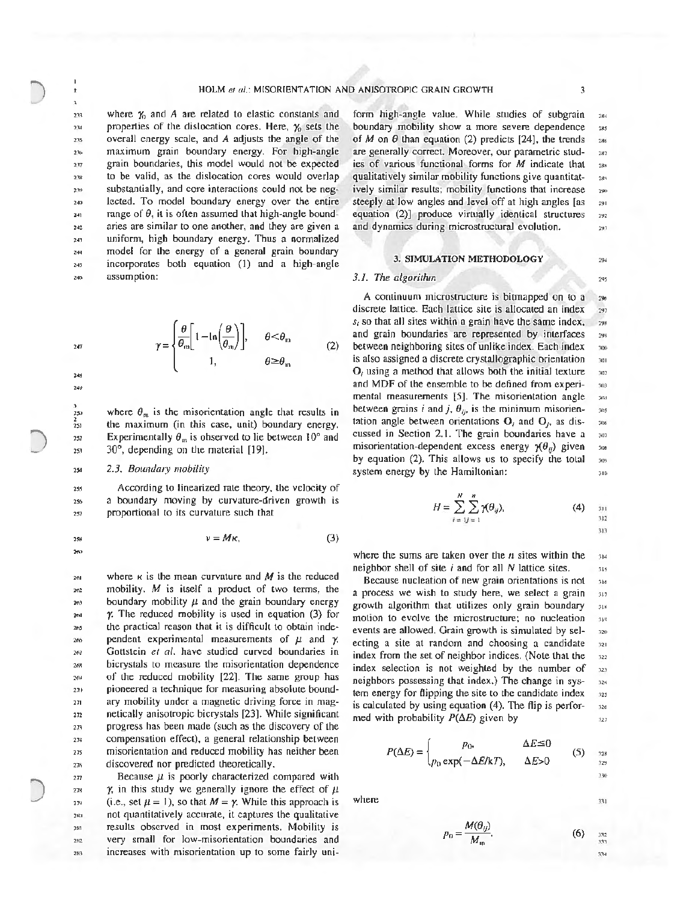where  $\chi_0$  and A are related to elastic constants and 233 properties of the dislocation cores. Here,  $\chi_1$  sets the 234 overall energy scale, and A adjusts the angle of the 235 maximum grain boundary energy. For high-angle *2'\(a*  grain boundaries, this model would not be expected 217 to be valid, as the dislocation cores would overlap 21K substantially, and core interactions could not be neg- $239$ lected. To model boundary energy over the entire **24U**  range of  $\theta$ , it is often assumed that high-angle bound-:t-Il aries are similar to one another, and they are given a 242 uniform, high boundary energy. Thus a normalized 2~1 model for the energy of a general grain boundary 244 incorporates both equation (1) and a high-angle 245 assumption: 246

$$
\gamma = \begin{cases} \frac{\theta}{\theta_m} \left[ 1 - \ln \left( \frac{\theta}{\theta_m} \right) \right], & \theta < \theta_m \\ 1, & \theta \ge \theta_m \end{cases}
$$
 (2)

where  $\theta_{\rm m}$  is the misorientation angle that results in the maximum (in this case. unit) boundary energy. Experimentally  $\theta_{\rm m}$  is observed to lie between 10° and 30°, depending on the material [19].

#### 2.3. Boundary mobility 254

25~ 256 257 According to linearized rate theory, the velocity of a boundary moving by curvature-driven growth is proportional to its curvature such that

 $v = M\kappa$ , (3)

 $258$ 

260

*211*  27K l'/'1 2<sub>KD</sub> 2H1 2X2

241

248 249

)

where  $\kappa$  is the mean curvature and  $M$  is the reduced 261 mobility.  $M$  is itself a product of two terms, the  $262$ boundary mobility  $\mu$  and the grain boundary energy  $263$ *r.* The reduced mobility is used in equation (3) for  $2nd$ the practical reason that it is difficult to obtain inde- $265$ pendent experimental measurements of  $\mu$  and  $\gamma$ . 2M Gottstein *et al.* have studied curved boundaries in l•7 bicrystals to measure the misorientation dependence  $268$ of the reduced mobility [22). The same group has 269 27<1 pioneered a technique for measuring absolute boundary mobility under a magnetic driving force in magl7l netically anisotropic bicrystals [23]. While significant 172 progress has been made (such as the discovery of the 21l compensation effect), a general relationship between 274 *l1S*  misorientation and reduced mobility has neither been discovered nor predicted theoretically. 276

2Hl Because  $\mu$  is poorly characterized compared with  $\gamma$ , in this study we generally ignore the effect of  $\mu$ (i.e., set  $\mu = 1$ ), so that  $M = \gamma$ . While this approach is not quantitatively accurate, it captures the qualitative results observed in most experiments. Mobility is very small for low-misorientation boundaries and increases with misorientation up to some fairly uni-

form high-angle value. While studies of subgrain  $284$ boundary mobility show a more severe dependence lltS of  $M$  on  $\theta$  than equation (2) predicts [24], the trends 286 are generally correct. Moreover, our parametric studlK7 ies of various functional forms for *M* indicate that 28) qualitatively similar mobility functions give quantitat- $284$ ively similar results; mobility functions that increase l'JII steeply at low angles and level off at high angles [as 291 equation (2)] produce virtually identical structures 292 and dynamics during microstructural evolution.  $29.5$ 

### 3. SIMULATION METHODOLOGY

### *3.1. The algorithm*

A continuum microstructure is bitmapped on to a  $29$ discrete lattice. Each lattice site is allocated an index  $_{291}$  $s<sub>i</sub>$  so that all sites within a grain have the same index,  $298$ and grain boundaries are represented by interfaces 299 between neighboring sites of unlike index. Each index  $_{\text{row}}$ is also assigned a discrete crystallographic orientation  $\frac{1}{2}$  and  $\mathbf{O}_i$  using a method that allows both the initial texture  $\mathbf{I}_{302}$ and MDF of the ensemble to be defined from experi- 303 mental measurements  $[5]$ . The misorientation angle  $\rightarrow$ 114 between grains i and j,  $\theta_{ij}$ , is the minimum misorien-  $\theta_{ij}$ tation angle between orientations  $O_i$  and  $O_i$ , as discussed in Section 2.1. The grain boundaries have a  $\frac{1}{1111}$ misorientation-dependent excess energy  $\chi(\theta_{ij})$  given  $\pi_{11}$ by equation (2). This allows us to specify the total  $\frac{1}{2}$  and system energy by the Hamiltonian:  $\frac{310}{200}$ 

$$
H = \sum_{i=1}^{N} \sum_{j=1}^{n} \gamma(\theta_{ij}),
$$
 (4)  $\sum_{312}$ 

where the sums are taken over the  $n$  sites within the neighbor shell of site i and for all *N* lattice sites. **3t4**  315

Because nucleation of new grain orientations is not )16 a process we wish to study here. we select a grain 317 growth algorithm that utilizes only grain boundary  $318$ motion to evolve the microstructure; no nucleation 1)0 events are allowed. Grain growth is simulated by sel-120 ecting a site at random and choosing a candidate 321 index from the set of neighbor indices. (Note that the 322 index selection is not weighted by the number of 323 neighbors possessing that index.} The change in sys-**324**  tem energy for flipping the site to the candidate index *125*  is calculated by using equation (4). The flip is perfor-126 med with probability  $P(\Delta E)$  given by *121* 

$$
P(\Delta E) = \begin{cases} p_0, & \Delta E \le 0\\ p_0 \exp(-\Delta E/kT), & \Delta E > 0 \end{cases} (5) \quad \text{as}
$$

where

$$
\mathbf{e}_{\text{max}}
$$

**:nu** 

:n1

$$
p_0 = \frac{M(\theta_{ij})}{M_{in}}.\tag{6}
$$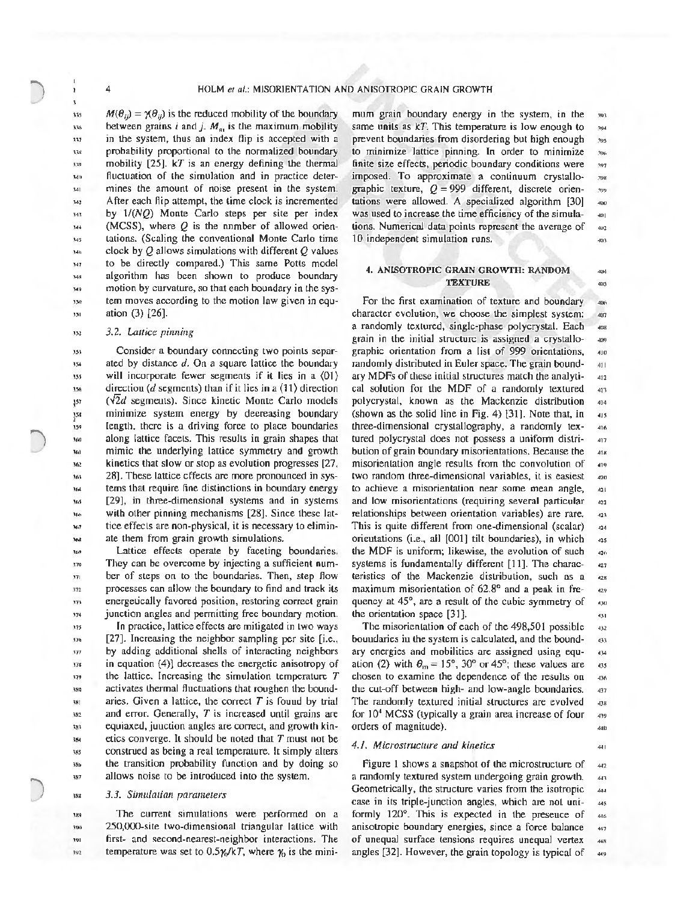$M(\theta_{ii}) = \gamma(\theta_{ii})$  is the reduced mobility of the boundary 335 between grains  $i$  and  $j$ .  $M<sub>m</sub>$  is the maximum mobility 336 in the system, thus an index flip is accepted with a 1\7 probability proportional to the normalized boundary 338 mobility  $[25]$ . kT is an energy defining the thermal 339 fluctuation of the simulation and in practice deter-340 mines the amount of noise present in the system.  $341$ 342 After each flip attempt, the time clock is incremented by *1/(NQ)* Monte Carlo steps per site per index 343<br>144 (MCSS), where  $Q$  is the number of allowed orientations. (Scaling the conventional Monte Carlo time  $145$ clock by  $Q$  allows simulations with different  $Q$  values **AdA** to be directly compared.) This same Potts model ,., algorithm has been shown to produce boundary motion by curvature, so that each boundary in the system moves according to the motion law given in equ-,~. ation (3) (26]. 351

#### *3.2. Lattice pinning*  352

,..

)

 $\pmb{\scriptstyle 1}$  $\overline{\mathbf{3}}$ 

Consider a boundary connecting two points separ-353 ated by distance  $d$ . On a square lattice the boundary 354 will incorporate fewer segments if it lies in a  $\langle 01 \rangle$ 355 direction ( $d$  segments) than if it lies in a  $(11)$  direction 356  $(\sqrt{2}d)$  segments). Since kinetic Monte Carlo models 157 minimize system energy by decreasing boundary 358 length, there is a driving force to place boundaries 359 along lattice facets. This results in grain shapes that **1(>41**  36) mimic the underlying lattice symmetry and growth kinetics that slow or stop as evolution progresses [27,  $362$ 28]. These lattice effects arc more pronounced in sys-363 tems that require fine distinctions in boundary energy 364 [29], in three-dimensional systems and in systems 365 with other pinning mechanisms (28]. Since these lat-36c  $367$ tice effects are non-physical, it is necessary to eliminate them from grain growth simulations. w

Lattice effects operate by faceting boundaries. 364 They can be overcome by injecting a sufficient num-370<br>371 ber of steps on to the boundaries. Then, step flow processes can allow the boundary to find and track its  $372$ energetically favored position, restoring correct grain l7\ junction angles and permitting free boundary motion. 174

In practice, lattice effects are mitigated in two ways 17S [27]. Increasing the neighbor sampling per site [i.e.,] 376 by adding additional shells of interacting neighbors  $\overline{377}$ in equation (4)} decreases the energetic anisotropy of l7l< 379 the lattice. Increasing the simulation temperature *T*  380 activates thermal fluctuations that roughen the boundaries. Given a lattice, the correct *T* is found by trial 331 and error. Generally, *T* is increased until grains are 382 equiaxed, junction angles are correct, and growth kin-'"' etics converge. It should be noted that *T* must not be construed as being a real temperature. It simply alters 385 the transition probability function and by doing so 386 allows noise to be introduced into the system. 387

# *3.3. Simultttion parameters*

388

The current simulations were performed on a 389 250,000-site two-dimensional triangular lattice with **1'JU**  first- and second-nearest-neighbor interactions. The ,., temperature was set to  $0.5\%$ /kT, where  $\chi_0$  is the miniaw<sub>2</sub>

mum grain boundary energy in the system, in the ,., same units as kT. This temperature is low enough to 394 prevent boundaries from disordering but high enough 395 to minimize lattice pinning. In order to minimize 396 finite size effects, periodic boundary conditions were ,., imposed. To approximate a continuum crystallographic texture,  $Q = 999$  different, discrete orien-395 tations were allowed. A specialized algorithm [30) **4(1)**  was used to increase the time efficiency of the simula-**4tll**  tions. Numerical data points represent the average of **4Ul**  10 independent simulation runs. **4Ul** 

# 4. ANISOTROPIC GRAIN GROWTH: RANDOM **TEXTURE**

41>1 **4fl\$** 

...

For the first examination of texture and boundary 406 character evolution, we choose the simplest system: atrz a randomly textured, single-phase polycrystal. Each 41111 grain in the initial structure is assigned a crystallo-"<br>""<br>"" graphic orientation from a list of 999 orientations, randomly distributed in Euler space. The grain bound-41 I ary MDFs of these initial structures match the analyti-41l cal solution for the MDF of a randomly textured 413 polycrystal, known as the Mackenzie distribution 414 (shown as the solid line in Fig. 4) [31]. Note that, in  $415$ three-dimensional crystallography, a randomly tex-.<br>م11 tured polycrystal does not possess a uniform distri-4l7 bution of grain boundary misorientations. Because the ••• misorientation angle results from the convolution of 410 two random three-dimensional variables, it is easiest **42C)**  to achieve a misorientation near some mean angle, **4ll**  and low misoricntations (requiring several particular  $422$ relationships between orientation variables) are rare.  $423$ This is quite different from one-dimensional (scalar)  $424$ orientations (i.e., all [001) tilt boundaries), in which 425 the MDF is uniform; likewise, the evolution of such  $426$ systems is fundamentally different [11]. The charac-427 teristics of the Mackenzie distribution, such as a 42K maximum misorientation of 62.8° and a peak in fre- $429$ quency at 45°, are a result of the cubic symmetry of 430 the orientation space [31]. **41)1** 

The misorientation of each of the 498,501 possible aas boundaries in the system is calculated, and the bound $d33$ ary energies and mobilities arc assigned using equ-434 ation (2) with  $\theta_{\rm m} = 15^{\circ}$ , 30° or 45°; these values are 435 chosen to examine the dependence of the results on 436 the cut-off between high- and low-angle boundaries. 4)7 The randomly textured initial structures are evolved **JTR** for 104 MCSS (typically a grain area increase of four **4W**  orders of magnitude}. 440

# *4.1. Microstructure and kinetics*

Figure I shows a snapshot of the microstructure of ALL<sub>1</sub> a randomly textured system undergoing grain growth. 443 Geometrically, the structure varies from the isotropic ... case in its triple-junction angles, which are not uni- $445$ formly 120°. This is expected in the presence of  $446$ anisotropic boundary energies, since a force balance 447 of unequal surface tensions requires unequal vertex 448 angles [32]. However, the grain topology is typical of 449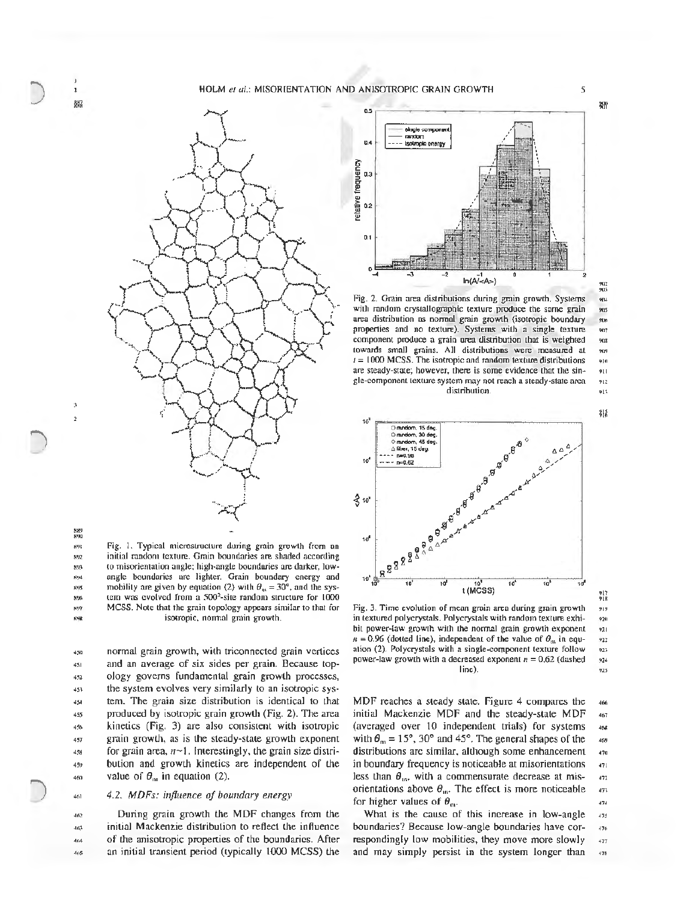902<br>903  $...$ 905 IIIli\ 907 C)t))t '111J **¥111**  ... 'JI2

913 鄂



eres<br>Stat Fig. 1. Typical microstructure during grain growth from an sinh 892 initial random texture. Grain boundaries are shaded according to misorientation angle: high-angle boundaries arc darker, lowangle boundaries are lighter. Grain boundary energy and mobility are given by equation (2) with  $\theta_{\rm m} = 30^{\circ}$ , and the sys-895 **SIM** tem was evolved from a 500<sup>2</sup>-site random structure for 1000  $897$ MCSS. Note that the grain topology appears similar to that for isotropic, normal grain growth. **KWK** 

normal grain growth, with triconnected grain vertices 450 and an average of six sides per grain. Because top-451 452 ology governs fundamental grain growth processes, 453 the system evolves very similarly to an isotropic system. The grain size distribution is identical to that .<br>Де produced by isotropic grain growth (Fig. 2). The area 455 kinetics (Fig. 3) are also consistent with isotropic  $156$ grain growth, as is the steady-state growth exponent 457 for grain area, *n-1.* Interestingly, the grain size distri- $458$ bution and growth kinetics are independent of the 4S? value of  $\theta_{\rm on}$  in equation (2). 460

# *4.2. MDFs: influence of boundary energy*

During grain growth the MDF changes from the 462 initial Mackenzie distribution to reflect the influence 463 of the anisotropic properties of the boundaries. After .... an initial transient period ({ypically 1000 MCSS) the  $465$ 



Fig. 2. Grain area distributions during grain growth. Systems with random crystallographic texture produce the same grain area distribution as normal grain growth (isotropic boundary propenies and no texture). Systems with a single texture component produce a grain area distribution that is weighted towards small grains. All distributions were measured at  $t = 1000$  MCSS. The isotropic and random texture distributions are steady-state; however, there is some evidence that the single-component texture system may not reach a steady-state area distribution.



Fig. 3. Time evolution of mean groin area during grain growth in textured polycrystals. Polycrystals with random texture exhi-920 bit power-law growth with the normal grain growth exponent 92)  $n = 0.96$  (dotted line), independent of the value of  $\theta_{\rm m}$  in equ-412 ation (2). Polycrystals with a single-component texture follow 923 power-law growth with a decreased exponent  $n = 0.62$  (dashed !'l4 line). *'JlS* 

MDF reaches a steady state. Figure 4 compares the 466 initial Mackenzie MDF and the steady-state MDF 467 (averaged over 10 independent trials) for systems .... with  $\theta_{\rm m} = 15^{\circ}$ , 30° and 45°. The general shapes of the 469 distributions are similar, although some enhancement 4711 in boundary frequency is noticeable at misorientations 471 less than  $\theta_{\rm m}$ , with a commensurate decrease at mis-471 orientations above  $\theta_{\rm m}$ . The effect is more noticeable 41l for higher values of  $\theta_{\text{m}}$ . 474

What is the cause of this increase in low-angle 475 boundaries? Because low-angle boundaries have cor-476 respondingly low mobilities, they move more slowly 477 and may simply persist in the system longer than 478

893 **R94** 

uki

~17 YIK  $919$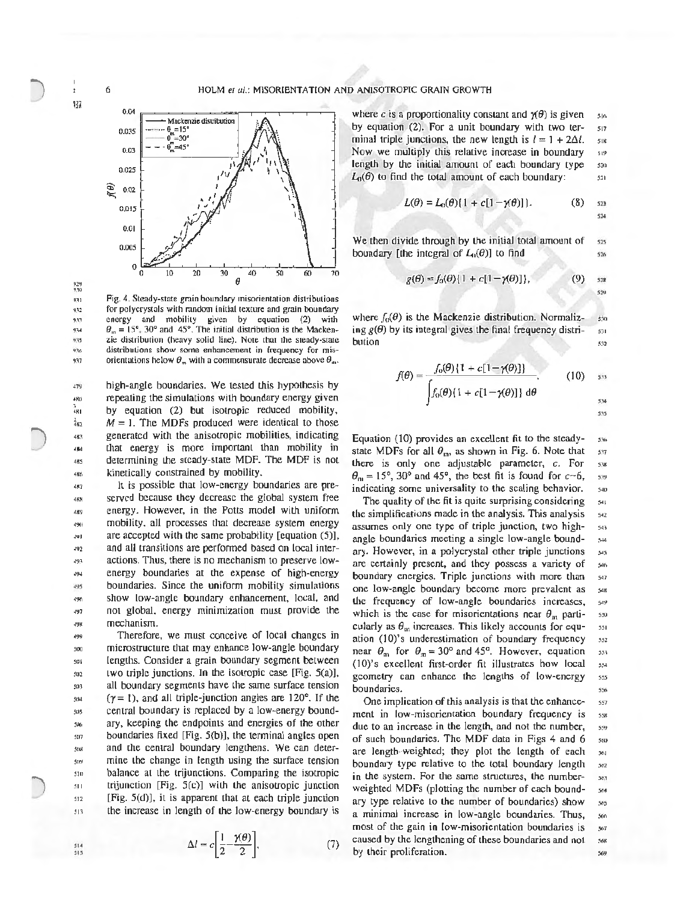929

931

932

933

 $634$ 

 $9.15$ 

936

937

479

4R<sub>D</sub> 3<br>4RT

 $\frac{2}{482}$ 

483

4 N.A

485

486

6



Fig. 4. Steady-state grain boundary misorientation distributions for polycrystals with random initial texture and grain boundary energy and mobility given by equation (2) with  $\theta_{\rm m} = 15^{\circ}$ , 30° and 45°. The initial distribution is the Mackenzie distribution (heavy solid line). Note that the steady-state distributions show some enhancement in frequency for misorientations helow  $\theta_m$  with a commensurate decrease above  $\theta_m$ .

high-angle boundaries. We tested this hypothesis by repeating the simulations with boundary energy given by equation (2) but isotropic reduced mobility,  $M = 1$ . The MDFs produced were identical to those generated with the anisotropic mobilities, indicating that energy is more important than mobility in determining the steady-state MDF. The MDF is not kinetically constrained by mobility.

It is possible that low-energy boundaries are pre-487 served because they decrease the global system free 489 energy. However, in the Potts model with uniform 489 mobility, all processes that decrease system energy 490 are accepted with the same probability [equation (5)], du). and all transitions are performed based on local inter-492 actions. Thus, there is no mechanism to preserve low-493 energy boundaries at the expense of high-energy 304 boundaries. Since the uniform mobility simulations 495 show low-angle boundary enhancement, local, and 496 not global, energy minimization must provide the 497 mechanism. 498

Therefore, we must conceive of local changes in microstructure that may enhance low-angle boundary lengths. Consider a grain boundary segment between two triple junctions. In the isotropic case [Fig. 5(a)],  $502$ all boundary segments have the same surface tension 503  $(\gamma = 1)$ , and all triple-junction angles are 120°. If the  $504$ central boundary is replaced by a low-energy bound-505 ary, keeping the endpoints and energies of the other 500 boundaries fixed [Fig. 5(b)], the terminal angles open 507 and the central boundary lengthens. We can deter-**SOM** mine the change in length using the surface tension **SON** balance at the trijunctions. Comparing the isotropic  $510$ trijunction [Fig. 5(c)] with the anisotropic junction 511 [Fig. 5(d)], it is apparent that at each triple junction 532 the increase in length of the low-energy boundary is  $513$ 

 $\Delta l = c \left[ \frac{1}{2} - \frac{\gamma(\theta)}{2} \right],$ 

 $(7)$ 

where c is a proportionality constant and  $\chi(\theta)$  is given  $316$ by equation (2). For a unit boundary with two ter- $517$ minal triple junctions, the new length is  $l = 1 + 2\Delta l$ . 5lk Now we multiply this relative increase in boundary 519 length by the initial amount of each boundary type 520  $L_0(\theta)$  to find the total amount of each boundary: 521

$$
L(\theta) = L_0(\theta) \{ 1 + c[1 - \gamma(\theta)] \}.
$$
 (8) so

524

We then divide through by the initial total amount of  $525$ boundary [the integral of  $L_0(\theta)$ ] to find  $526$ 

$$
g(\theta) = f_0(\theta) \{ 1 + c[1-\gamma(\theta)] \},
$$
 (9) 328

where  $f_0(\theta)$  is the Mackenzie distribution. Normalizéàn ing  $g(\theta)$  by its integral gives the final frequency distri- $531$ bution 532

J

$$
(\theta) = \frac{f_0(\theta) \{1 + c[1 - \gamma(\theta)]\}}{\left[f_0(\theta) \{1 + c[1 - \gamma(\theta)]\} \, \mathrm{d}\theta\right]}
$$
(10)

$$
\overline{335}
$$

Equation (10) provides an excellent fit to the steady-536 state MDFs for all  $\theta_{\rm m}$ , as shown in Fig. 6. Note that 537 there is only one adjustable parameter, c. For 538  $\theta_{\rm m} = 15^{\circ}$ , 30° and 45°, the best fit is found for c~6. 539 indicating some universality to the scaling behavior. 540

The quality of the fit is quite surprising considering 541 the simplifications made in the analysis. This analysis  $542$ assumes only one type of triple junction, two high-543 angle boundaries meeting a single low-angle bound-544 ary. However, in a polycrystal other triple junctions 545 are certainly present, and they possess a variety of 546 boundary energies. Triple junctions with more than 547 one low-angle boundary become more prevalent as 548 the frequency of low-angle boundaries increases, 549 which is the case for misorientations near  $\theta_{\rm m}$  parti-550 cularly as  $\theta_{\rm m}$  increases. This likely accounts for equ-551 ation (10)'s underestimation of boundary frequency 552 near  $\theta_{\rm m}$  for  $\theta_{\rm m} = 30^{\circ}$  and 45°. However, equation 553 (10)'s excellent first-order fit illustrates how local 554 geometry can enhance the lengths of low-energy 555 boundaries. 556

One implication of this analysis is that the enhance-557 ment in low-misorientation boundary frequency is 558 due to an increase in the length, and not the number, 559 of such boundaries. The MDF data in Figs 4 and 6 **S60** are length-weighted; they plot the length of each  $561$ boundary type relative to the total boundary length 562 in the system. For the same structures, the number-563 weighted MDFs (plotting the number of each bound-564 ary type relative to the number of boundaries) show 565 a minimal increase in low-angle boundaries. Thus,  $566$ most of the gain in low-misorientation boundaries is  $367$ caused by the lengthening of these boundaries and not **568** by their proliferation. 569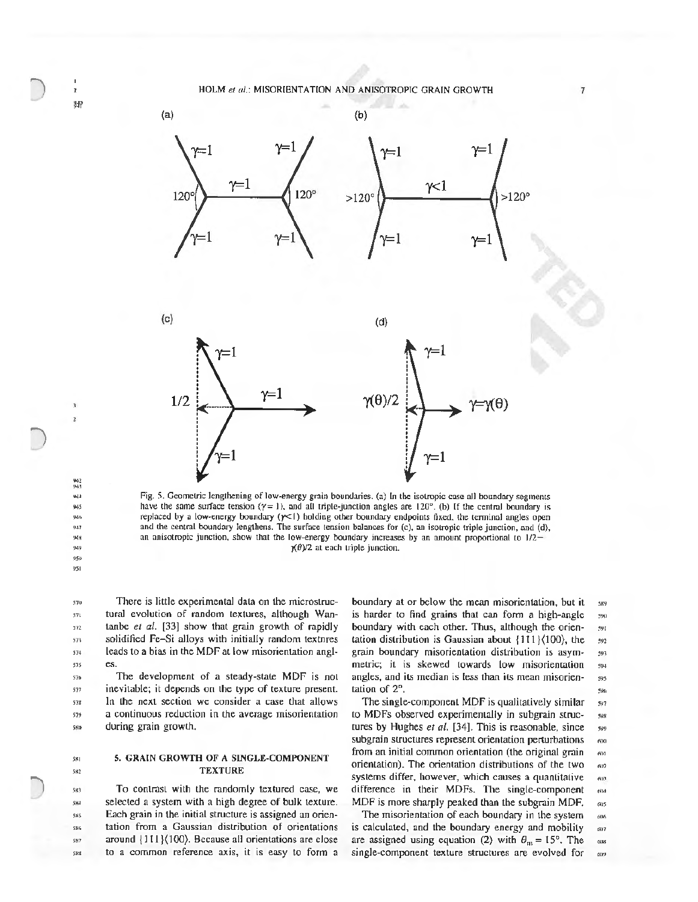$\bigcup$ 

*512*  57\ \$74

570 571

 $\frac{942}{943}$ ر<br>پ 945 946  $0.47$ **SMN** 949 950 951

*S1h sn*  57K Sl~

57,5

s••

582 ska **SKI** 585 **SHG** 587 **SXK** 

SKO



(c)



Fig. 5. Geometric lengthening of low-energy grain boundaries. (a) In the isotropic case all boundary segments have the same surface tension  $(\gamma = 1)$ , and all triple-junction angles are 120°. (b) If the central boundary is replaced by a low-energy boundary  $(y<1)$  holding other boundary endpoints fixed, the terminal angles open and the central boundary lengthens. The surface tension balances for (c). an isotropic triple junction, nnd (d), an anisotropic junction, show that the low-energy boundary increases by an amount proportional to  $1/2 1/9/2$  at each triple junction.

There is little experimental data on the microstructural evolution of random textures, although Wantanbe *et al.* [33] show that grain growth of rapidly solidified Fe-Si alloys with initially random textures leads to a bias in the MDF at low misorientation angles.

The development of a steady-state MDF is not inevitable; it depends on the type of texture present. In the next section we consider a case that allows a continuous reduction in the average misorientation during grain growth.

# *S.* GRAIN GROWTH OF A SINGLE-COMPONENT **TEXTURE**

To contrast with the randomly textured case, we selected a system with a high degree of bulk texture. Each grain in the initial structure is assigned an orientation from a Gaussian distribution of orientations around  $\{111\}\langle100\rangle$ . Because all orientations are close to a common reference axis, it is easy to form a boundary at or below the mean misorientation, but it  $\sim$  sxy is harder to find grains that can form a high-angle  $\frac{1}{2}$ yo boundary with each other. Thus, although the orien-<br>syr tation distribution is Gaussian about  ${111}\,(100)$ , the  $_{592}$ grain boundary misorientation distribution is asym-<br>
<sup>393</sup> metric; it is skewed towards low misorientation sw angles, and its median is less than its mean misorien- s95  $\alpha$  tation of  $2^{\circ}$ .

The single-component MDF is qualitatively similar  $_{597}$ to MDFs observed experimentally in subgrain struc- sw tures by Hughes *et al.* [34]. This is reasonable, since sym subgrain structures represent orientation perturbations www from an initial common orientation (the original grain  $\epsilon_{00}$ orientation). The orientation distributions of the two  $\frac{1}{2}$   $\frac{1}{2}$ systems differ, however, which causes a quantitative  $\theta$ <sup>88</sup> difference in their MDFs. The single-component ... MDF is more sharply peaked than the subgrain MDF. *(••s* 

The misorientation of each boundary in the system  $\frac{1}{60}$ is calculated, and the boundary energy and mobility  $\frac{1}{100}$ are assigned using equation (2) with  $\theta_m = 15^\circ$ . The  $\theta_m$ single-component texture structures are evolved for some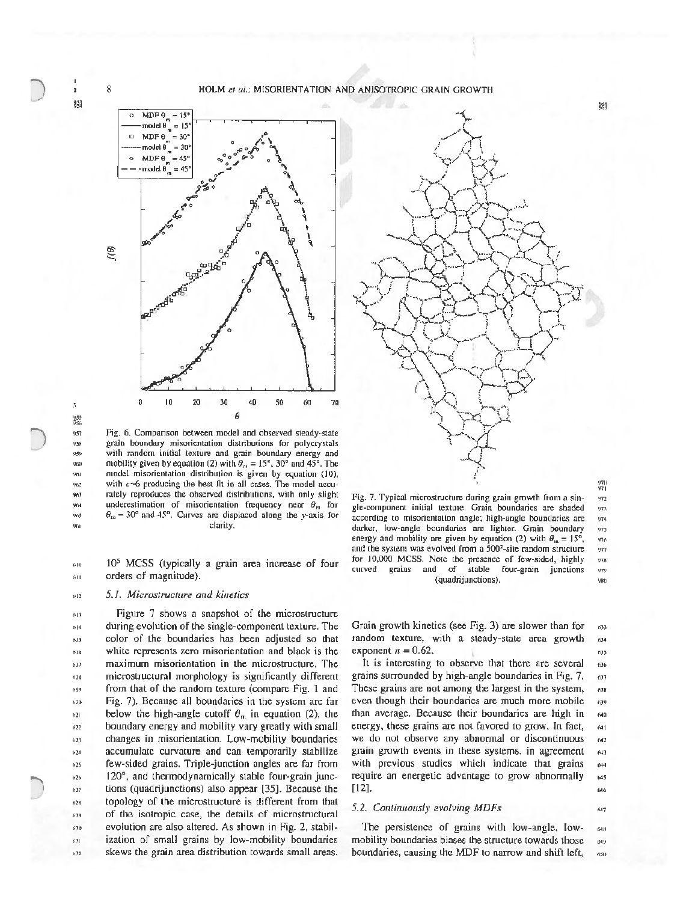893

965 Oran 8 **BELOCE HOLM** *ct ul.:* **MISORIENTATION AND ANISOTROPIC GRAIN GROWTH** 





Fig. 6. Comparison between model and observed steady-state grain boundary misorientation distributions for polycrystals with random initial texture and grain boundary energy and mobility given by equation (2) with  $\theta_m = 15^\circ$ , 30° and 45°. The model misorientation distribution is given by equation (10), with  $c$ -6 producing the best fit in all cases. The model accurately reproduces the observed distributions, with only slight underestimation of misorientation frequency near  $\theta_m$  for  $\theta_{\rm m}$  = 30° and 45°. Curves are displaced along the y-axis for clarity.

105 MCSS (typically a grain area increase of four  $610$ orders of magnitude).  $611$ 

### $_{612}$  5.1. Microstructure and kinetics

Figure 7 shows a snapshot of the microstructure 613 during evolution of the single-component texture. The 614 color or the boundaries has been adjusted so that 615 white represents zero misorientation and black is the 616 maximum misorientation in the microstructure. The ~·· 618 microstructural morphology is significantly different 619 from that of the random texture (compare Fig. 1 and Fig. 7). Because all boundaries in the system arc far  $620$ below the high-angle cutoff  $\theta_m$  in equation (2), the 621 boundary energy and mobility vary greatly with small .12 changes in misorientation. Low-mobility boundaries  $623$ 624 accumulate curvature and can temporarily stabilize few-sided grains. Triple-junction angles are far from  $625$ 120°, and thennodynamically stable four-grain junc- $626$ tions (quadrijunctions) also appear [35). Because the o27 topology of the microstructure is different from that 628 of the isotropic case, the details or microstructural 629 evolution are also altered. As shown in Fig. 2, stabil-630 ization of small grains by low-mobility boundaries 631 skews the grain area distribution towards small areas. o12

Fig. 7. Typical microstructure during grain growth from a single-component initial texture. Grain boundaries are shaded according to misorientation angle; high-angle boundaries are darker, low-angle boundaries are lighter. Grain boundary energy and mobility are given by equation (2) with  $\theta_{\rm m} = 15^{\circ}$ , and the system was evolved from a 500<sup>2</sup>-site random structure

977 978 979

...,.,

Grain growth kinetics (see Fig. 3) are slower than for  $\epsilon_{63}$ random texture, with a steady-state area growth  $\omega$ exponent  $n = 0.62$ .

for 10,000 MCSS. Note the presence of few-sided, highly curved grains and of slable four-grain junclions ( quadrijunctions).

It is interesting to observe that there are several  $\alpha_0$ grains surrounded by high-angle boundaries in Fig. 7.  $\omega$ These grains are not among the largest in the system,  $\frac{1}{6}$  even though their boundaries are much more mobile  $\frac{1}{6}$ than average. Because their boundaries are high in  $\epsilon_{40}$ energy, these grains are not favored to grow. In fact,  $\omega_1$ we do not observe any abnormal or discontinuous 642 grain growth events in these systems, in agreement  $\omega_3$ with previous studies which indicate that grains  $644$ require an energetic advantage to grow abnormally  $\omega$ 1  $[12]$ .

# *5.2. Continuously evolving MDFs*  $^{64}$

The persistence of grains with low-angle, low- $\frac{64}{648}$ mobility boundaries biases the structure towards those  $\frac{1}{100}$ boundaries, causing the MDF to narrow and shift left,  $\frac{1}{2}$ 

970<br>97 I **972** 973 **\*)14** 

20%

*'J1S*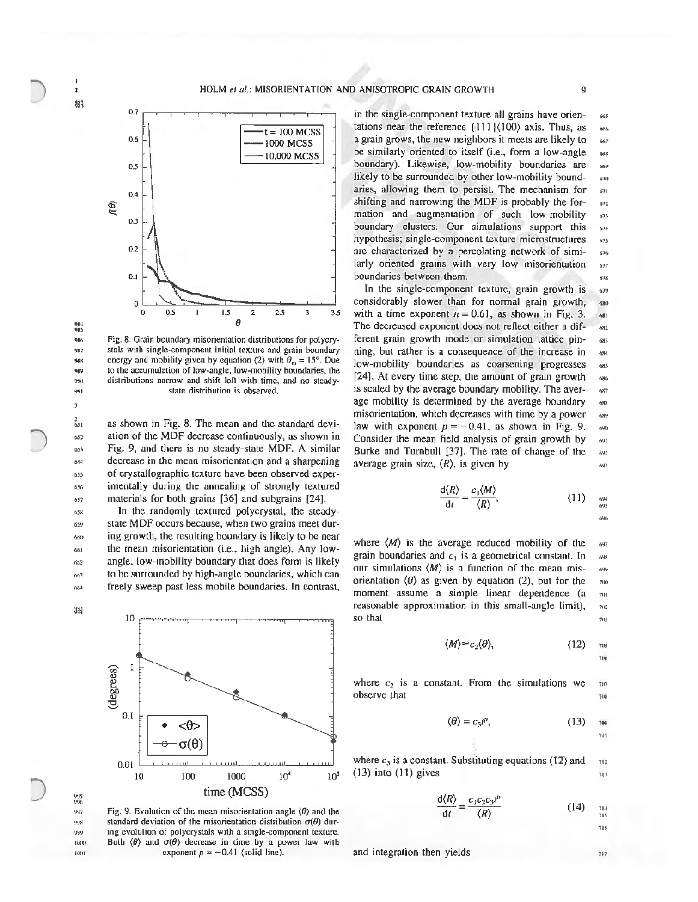

Fig. 8. Grain boundary misorientation distributions for polycrystals with single-component initial texture and grain boundary energy and mobility given by equation (2) with  $\theta_m = 15^{\circ}$ . Due to the accumulation of low-angle, low-mobility boundaries, the distributions narrow and shift lefl with time, and no steadystate distribution is observed.

as shown in Fig. 8. The mean and the standard deviation of the MDF decrease continuously, as shown in Fig. 9, and there is no steady-state MDF. A similar decrease in the mean misorientation and a sharpening of crystallographic texture have been observed experimentally during the annealing of strongly textured materials for both grains [36] and subgrains [24].

**<'i5\*J**  660 661 f.t>2 In the randomly textured polycrystal, the steadystate MDF occurs because, when two grains meet during growth, the resulting boundary is likely to be near the mean misorientation (i.e., high angle). Any lowangle, low-mobility boundary that does form is likely to be surrounded by high-angle boundaries, which can freely sweep past less mobile boundaries. In contrast,



Fig. 9. Evolution of the mean misorientation angle  $\langle \theta \rangle$  and the standard deviation of the misorientation distribution  $\sigma(\theta)$  during evolution of polycrystals with a single-component texture. Both  $\langle \theta \rangle$  and  $\sigma(\theta)$  decrease in time by a power law with exponent  $p = -0.41$  (solid line).

in the single-component texture all grains have orien- $665$ tations near the reference ( 111}(100) axis. Thus, as 666 a grain grows, the new neighbors it meets are likely to 667 be similarly oriented to itself (i.e., form a low-angle .... boundary). Likewise, low-mobility boundaries are .<br>Mr9 likely to be surrounded by other low-mobility bound-**(i10**  aries, allowing them to persist The mechanism for **tf71**  shifting and narrowing the MDF is probably the for-672 mation and augmentation of such low-mobility *(o'H*  boundary clusters. Our simulations support this 674 hypothesis; single-component texture microstructures 675 are characterized by a percolating network of simi-676 larly oriented grains with very low misorientation ~77 boundaries between them. 678

In the single-component texture, grain growth is ~1') considerably slower than for normal grain growth, 680 with a time exponent  $n = 0.61$ , as shown in Fig. 3. 681 The decreased exponent does not reflect either a dif-682 ferent grain growth mode or simulation lattice pin· 683 ning. but rather is a consequence of the increase in 6% low-mobility boundaries as coarsening progresses 685 [24]. At every time step, the amount of grain growth **ANE** is scaled by the average boundary mobility. The aver-AX. age mobility is determined by the average boundary 682 misorientation, which decreases with time by a power 685 law with exponent  $p = -0.41$ , as shown in Fig. 9. 6'1<1 Consider the mean field analysis of grain growth by ••I Burke and Turnbull [37]. The rate of change of the 692 average grain size,  $\langle R \rangle$ , is given by **AUT** 

$$
\frac{d\langle R\rangle}{dt} = \frac{c_1 \langle M\rangle}{\langle R\rangle},\tag{11}
$$

where  $\langle M \rangle$  is the average reduced mobility of the ·~7 . .,. grain boundaries and  $c_1$  is a geometrical constant. In our simulations  $\langle M \rangle$  is a function of the mean misorientation  $\langle \theta \rangle$  as given by equation (2), but for the  $200$ moment assume a simple linear dependence (a 1<11 reasonable approximation in this small-angle limit),  $7112$ so that 7U)

$$
\langle M \rangle \approx c_2 \langle \theta \rangle, \tag{12}
$$

where  $c_2$  is a constant. From the simulations we  $\frac{1}{101}$ *observe* that

$$
\langle \theta \rangle = c_3 t^p, \qquad (13) \qquad \text{700} \qquad (13)
$$

where  $c_3$  is a constant. Substituting equations (12) and (13) into (11) gives 112 11'

$$
\frac{d\langle R\rangle}{dt} = \frac{c_1c_2c_3t^p}{\langle R\rangle} \tag{14}
$$

116

717

 $696$ 

and integration then yields

""" **'I'.NI**  WI 'n, 2<br>631  $\bigcirc$   $\bigcirc$  652 653 M4 ~ss ~!t<· ~S1 651

\llW •IllS •>11<1 **\*JM1**  9R~

ax<sub>2</sub>

995<br>996 997 998

oon RKK ног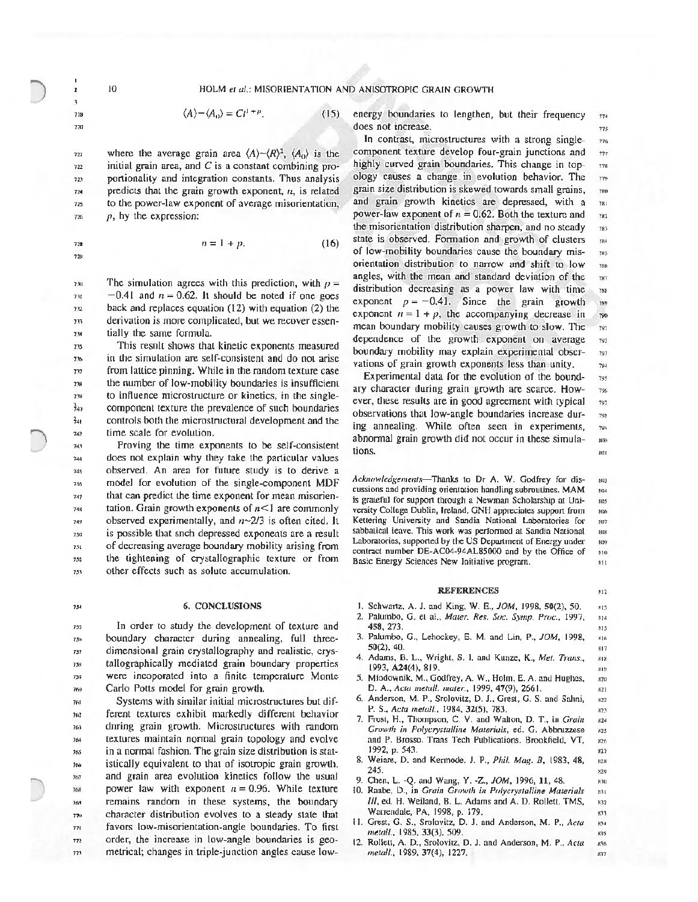# 10 HOLM *et ul.:* MISORIENTATION AND ANISOTROPIC GRAIN GROWTH

718 **72U** 

r 3

$$
\langle A \rangle - \langle A_0 \rangle = C t^{1 + p},\tag{1}
$$

 $n = 1 + p.$  (16)

 $771$ where the average grain area  $\langle A \rangle \sim \langle R \rangle^2$ ,  $\langle A_0 \rangle$  is the initial grain area, and *C* is a constant combining pro- $722$ portionality and integration constants. Thus analysis  $223$ predicts that the grain growth exponent,  $n<sub>1</sub>$ , is related 724 to the power-law exponent of average misorientation, *125*   $p$ , by the expression:

*12t*  729

72(o

7~1 7ll 712 1ll The simulation agrees with this prediction, with  $p =$  $-0.41$  and  $n = 0.62$ . It should be noted if one goes back and replaces equation (12) with equation (2) the derivation is more complicated, but we recover essen-

tially the same formula. llA This result shows that kinetic exponents measured 735 in the simulation are self-consistent and do not arise 736 from lattice pinning. While in the random texture case 737 the number of low-mobility boundaries is insufficient **1.'\M**  7l9 to influence microstructure or kinetics, in the singlecomponent texture the prevalence of such boundaries  $\frac{3}{2}$ in  $\frac{1}{741}$ controls both the microstructural development and the time scale for evolution. 742

74l Proving the time exponents to be self-consistent docs not explain why they take the particular values 744 observed. An area for future study is to derive a 745 model for evolution of the single-component MDF 746 that can predict the time exponent for mean misorien-*1<1*  tation. Grain growth exponents of *n<* I are commonly 74K observed experimentally, and  $n \sim 2/3$  is often cited. It 749 is possible that such depressed exponents are a result 7541 of decreasing average boundary mobility arising from **Hl**  the tightening of crystallographic texture or from 752 other effects such as solute accumulation. 753

754

 $\bigcirc$ 

# 6. CONCLUSIONS

In order to study the development of texture and 755 boundary character during annealing. full three-756 dimensional grain crystallography and realistic, crys- $757$ tallographically mediated grain boundary properties 758 759 were incoporated into a finite temperature Monte **760** Carlo Potts model for grain growth.

Systems with similar initial microstructures but dif-**7(tl**  ferent textures exhibit markedly different behavior 762 during grain growth. Microstructures with random **J(ll**  textures maintain normal grain topology and evolve 764 765 in a normal fashion. The grain size distribution is statistically equivalent to that of isotropic grain growth, *1«•*  and grain area evolution kinetics follow the usual **71t1**   $768$ power law with exponent  $n = 0.96$ . While texture remains random in these systems, the boundary 76'1 character distribution evolves to a steady state that **770** 771 favors low-misorientation-angle boundaries. To first order, the increase in low-angle boundaries is geo-712 metrical; changes in triple-junction angles cause low- $721$ 

 $(15)$  energy boundaries to lengthen, but their frequency  $\tau_{14}$ does not increase.  $175$ 

In contrast, microstructures with a strong single-776 component texture develop four-grain junctions and 777 highly curved grain boundaries. This change in top-*11M*  ology causes a change in evolution behavior. The  $779$ grain size distribution is skewed towards small grains, 7M1l and grain growth kinetics are depressed, with a 7XI power-law exponent of  $n = 0.62$ . Both the texture and 7l!l the misorientation distribution sharpen, and no steady 783 state is observed. Formation and growth of clusters 1HA of low-mobility boundaries cause the boundary mis-785 orientation distribution to narrow and shift to low  $786$ angles, with the mean and standard deviation of the 7N7 distribution decreasing as a power law with time 788 exponent  $p = -0.41$ . Since the grain growth 789 exponent  $n = 1 + p$ , the accompanying decrease in **TSK** mean boundary mobility causes growth to slow. The 7YI dependence of the growth exponent on average 7Y2 boundary mobility may explain experimental obser-793 vations of grain growth exponents less than unity. Tua

Experimental data for the evolution of the bound- $705$ ary character during grain growth are scarce. How-*1'K•*  ever, these results are in good agreement with typical 7~1 observations that low-angle boundaries increase dur-798 ing annealing. While often seen in experiments, **TUY** abnormal grain growth did not occur in these simula-**SINK** tions. lOll

*Acknowledgements-Thanks* to Dr A. W. Godfrey for dis-803 cussions and providing orientation handling subroutines. MAM 804 is grateful for support through a Newman Scholarship at Uni-805 versity College Dublin, Ireland. GNH appreciates support from 806 Kettering University and Sandia National Laboratories for sint sabbatical leave. This work was performed at Sandia National stock Laboratories, supported by the US Department of Energy under **HEM** contract number DE-AC04-94AL85000 and by the Office of  $810$ Basic Energy Sciences New Initiative program.  $N11$ 

## **REFERENCES**

- I. Schwartz. A. J. :md King. W. E., JOM. 1998, 50(2), 50. ·~~
- 2. Palumbo. G. et al., *Mater. Res. Soc. Symp. Proc.*, <sup>1997</sup>, \*14<br>458. 273.
- $458, 273.$   $815$
- 3. Palumbo, G., Lehockey, E. M. and Lin, P., JOM, 1998, 816  $50(2)$ , 40. Kl7
- 4. Adams, B. L., Wright, S. I. and Kunze, K., *Met. Trans.*, *•*18 1993, **A24**(4), 819.
- 5. Miodownik, M., Godfrey, A. W., Holm, E. A. and Hughes,  $\frac{1}{2}$ D. A., *Acta metall. mater.*, 1999, 47(9), 2661.
- 6. Anderson, M. P., Srolovitz, D. J., Grest, G. S. and Sahni, x22 P. S., *Acta metall.*, 1984, 32(5), 783.
- 7. Frost, H., Thompson, C. V. and Walton, D. T., in *Grain saa Growth in Polycrystalline Materials, ed. G. Abbruzzese m*<sup>25</sup> and P. Brosso. Trans Tech Publications, Brookfield, VT, s26 1992. p. 543. Illinois and the state  $\frac{1}{2}$
- 8. Weiare, D. and Kermode, J. P., Phil. *Mag. B*, 1983, 48, R2R  $245.$   $829.$
- 9. Chen, L. -Q. and Wang, Y. -Z., *JOM*, 1996, 11, 48. ••• \*\*
- 10. Raabe, D., in *Grain Growth in Polycrystalline Materials* and **Ill. ed. H. WeiJand, B. L. Adams and A. D. Rollett. TMS. nz**  Warrendale, PA, 1998, p. 179. m
- II. Grest, G. S., Srolovitz, D. J. and Anderson, M. P., Acta \*\*\* *metall.*, 1985. 33(3), 509. **x**<sub>35</sub>
- 12. Rollett, A. D., Srolovitz, D. J. and Anderson, M. P., *Acta* **\*\*\*** *metall.*, 1989, 37(4), 1227. KAY

••l